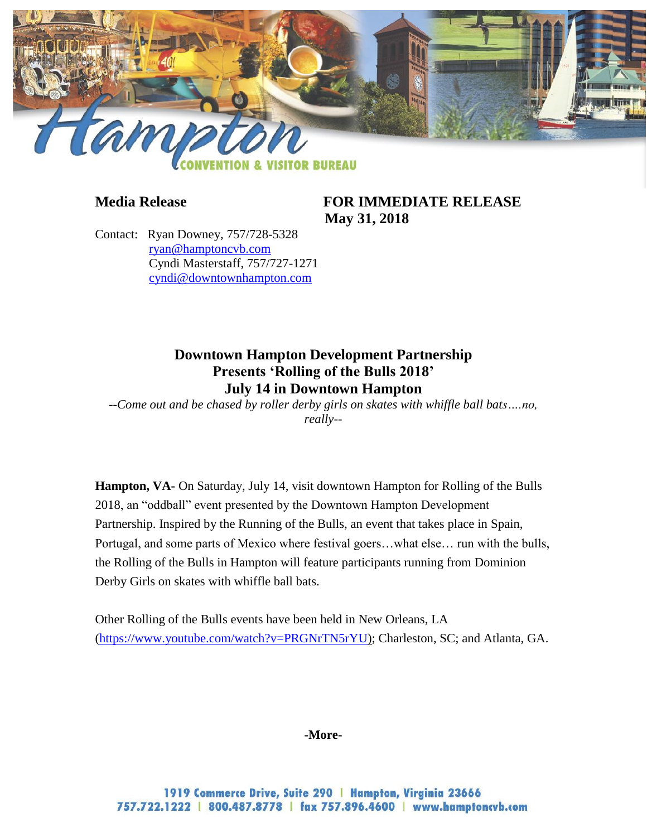

**Media Release FOR IMMEDIATE RELEASE May 31, 2018**

Contact: Ryan Downey, 757/728-5328 [ryan@hamptoncvb.com](mailto:ryan@hamptoncvb.com) Cyndi Masterstaff, 757/727-1271 [cyndi@downtownhampton.com](mailto:cyndi@downtownhampton.com)

# **Downtown Hampton Development Partnership Presents 'Rolling of the Bulls 2018' July 14 in Downtown Hampton**

*--Come out and be chased by roller derby girls on skates with whiffle ball bats….no, really--*

**Hampton, VA-** On Saturday, July 14, visit downtown Hampton for Rolling of the Bulls 2018, an "oddball" event presented by the Downtown Hampton Development Partnership. Inspired by the Running of the Bulls, an event that takes place in Spain, Portugal, and some parts of Mexico where festival goers…what else… run with the bulls, the Rolling of the Bulls in Hampton will feature participants running from Dominion Derby Girls on skates with whiffle ball bats.

Other Rolling of the Bulls events have been held in New Orleans, LA [\(https://www.youtube.com/watch?v=PRGNrTN5rYU\)](https://www.youtube.com/watch?v=PRGNrTN5rYU); Charleston, SC; and Atlanta, GA.

### **-More-**

1919 Commerce Drive, Suite 290 | Hampton, Virginia 23666 757.722.1222 | 800.487.8778 | fax 757.896.4600 | www.hamptoncvb.com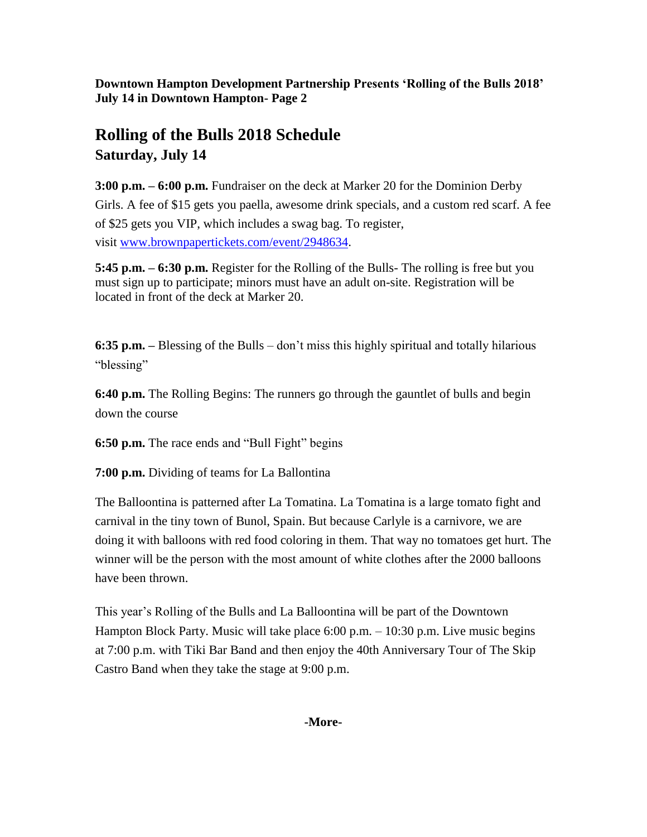**Downtown Hampton Development Partnership Presents 'Rolling of the Bulls 2018' July 14 in Downtown Hampton- Page 2**

# **Rolling of the Bulls 2018 Schedule Saturday, July 14**

**3:00 p.m. – 6:00 p.m.** Fundraiser on the deck at Marker 20 for the Dominion Derby Girls. A fee of \$15 gets you paella, awesome drink specials, and a custom red scarf. A fee of \$25 gets you VIP, which includes a swag bag. To register, visit [www.brownpapertickets.com/event/2948634](http://www.brownpapertickets.com/event/2948634).

**5:45 p.m. – 6:30 p.m.** Register for the Rolling of the Bulls- The rolling is free but you must sign up to participate; minors must have an adult on-site. Registration will be located in front of the deck at Marker 20.

**6:35 p.m. –** Blessing of the Bulls – don't miss this highly spiritual and totally hilarious "blessing"

**6:40 p.m.** The Rolling Begins: The runners go through the gauntlet of bulls and begin down the course

**6:50 p.m.** The race ends and "Bull Fight" begins

**7:00 p.m.** Dividing of teams for La Ballontina

The Balloontina is patterned after La Tomatina. La Tomatina is a large tomato fight and carnival in the tiny town of Bunol, Spain. But because Carlyle is a carnivore, we are doing it with balloons with red food coloring in them. That way no tomatoes get hurt. The winner will be the person with the most amount of white clothes after the 2000 balloons have been thrown.

This year's Rolling of the Bulls and La Balloontina will be part of the Downtown Hampton Block Party. Music will take place 6:00 p.m. – 10:30 p.m. Live music begins at 7:00 p.m. with Tiki Bar Band and then enjoy the 40th Anniversary Tour of The Skip Castro Band when they take the stage at 9:00 p.m.

## **-More-**